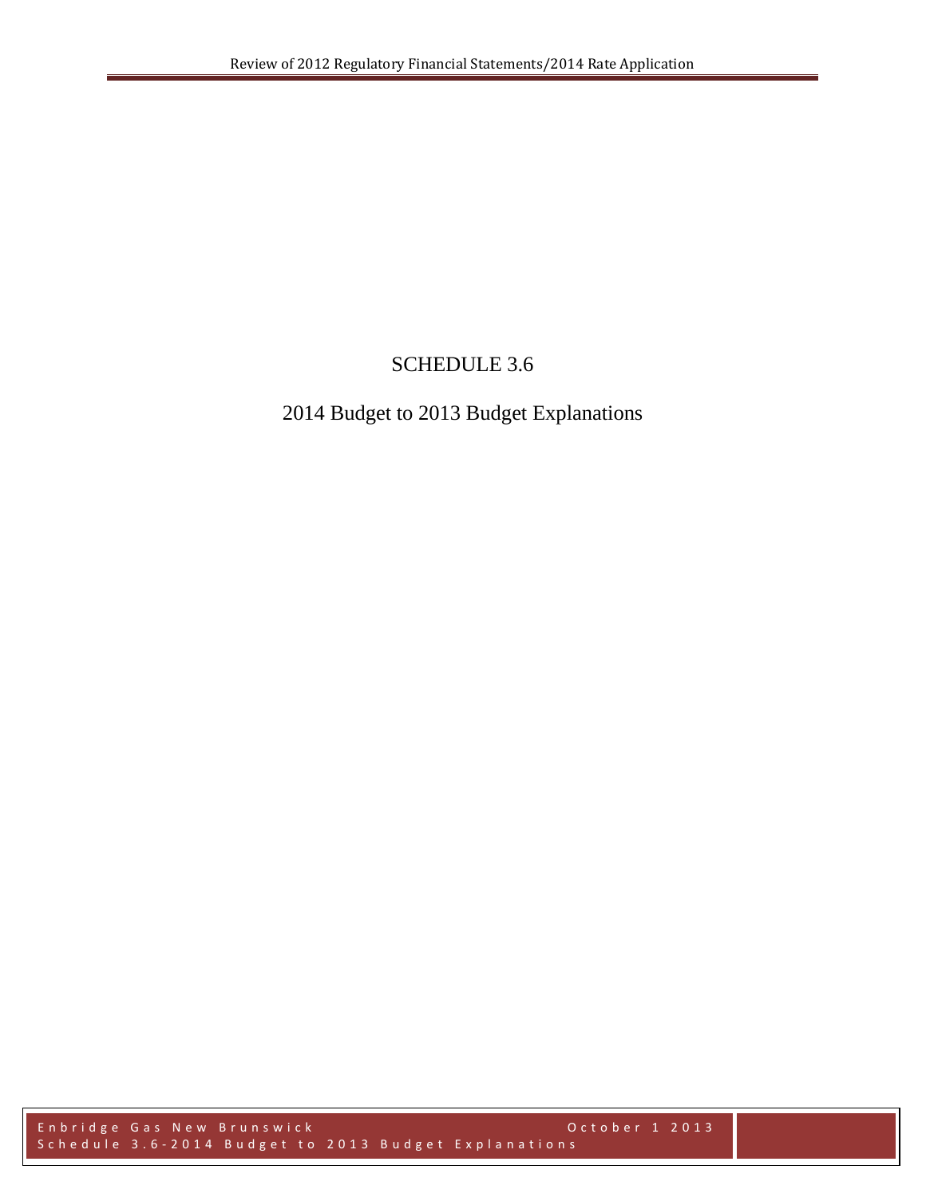# SCHEDULE 3.6

# 2014 Budget to 2013 Budget Explanations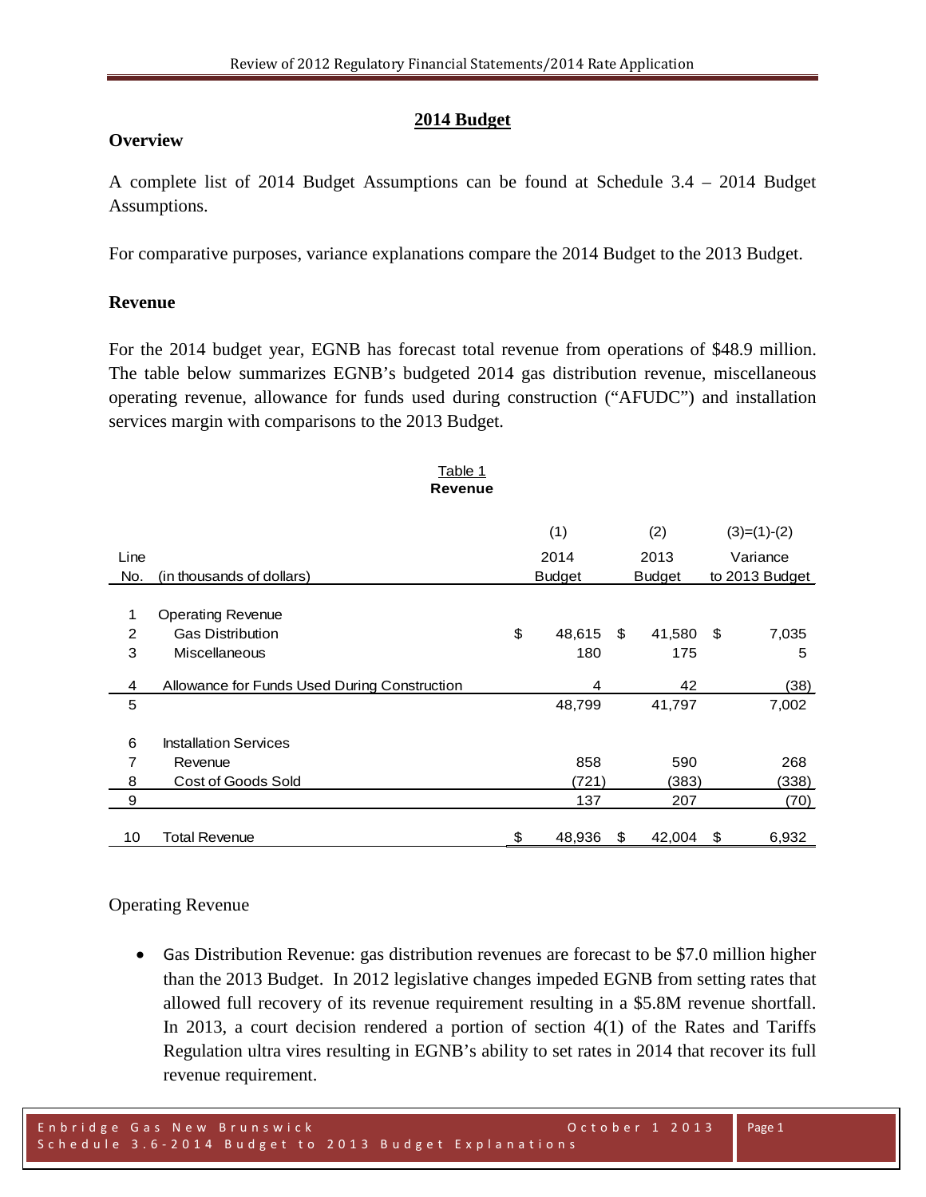### **2014 Budget**

### **Overview**

A complete list of 2014 Budget Assumptions can be found at Schedule 3.4 – 2014 Budget Assumptions.

For comparative purposes, variance explanations compare the 2014 Budget to the 2013 Budget.

### **Revenue**

For the 2014 budget year, EGNB has forecast total revenue from operations of \$48.9 million. The table below summarizes EGNB's budgeted 2014 gas distribution revenue, miscellaneous operating revenue, allowance for funds used during construction ("AFUDC") and installation services margin with comparisons to the 2013 Budget.

Table 1

|      | <b>Revenue</b>                               |               |               |      |                |
|------|----------------------------------------------|---------------|---------------|------|----------------|
|      |                                              | (1)           | (2)           |      | $(3)=(1)-(2)$  |
| Line |                                              | 2014          | 2013          |      | Variance       |
| No.  | (in thousands of dollars)                    | <b>Budget</b> | <b>Budget</b> |      | to 2013 Budget |
|      |                                              |               |               |      |                |
| 1    | <b>Operating Revenue</b>                     |               |               |      |                |
| 2    | <b>Gas Distribution</b>                      | \$<br>48,615  | \$<br>41,580  | - \$ | 7,035          |
| 3    | <b>Miscellaneous</b>                         | 180           | 175           |      | 5              |
| 4    | Allowance for Funds Used During Construction | 4             | 42            |      | (38)           |
| 5    |                                              | 48,799        | 41,797        |      | 7,002          |
| 6    | <b>Installation Services</b>                 |               |               |      |                |
| 7    |                                              | 858           |               |      |                |
|      | Revenue                                      |               | 590           |      | 268            |
| 8    | Cost of Goods Sold                           | (721)         | (383)         |      | (338)          |
| 9    |                                              | 137           | 207           |      | (70)           |
| 10   | <b>Total Revenue</b>                         | \$<br>48,936  | \$<br>42,004  | \$   | 6,932          |

### Operating Revenue

• Gas Distribution Revenue: gas distribution revenues are forecast to be \$7.0 million higher than the 2013 Budget. In 2012 legislative changes impeded EGNB from setting rates that allowed full recovery of its revenue requirement resulting in a \$5.8M revenue shortfall. In 2013, a court decision rendered a portion of section 4(1) of the Rates and Tariffs Regulation ultra vires resulting in EGNB's ability to set rates in 2014 that recover its full revenue requirement.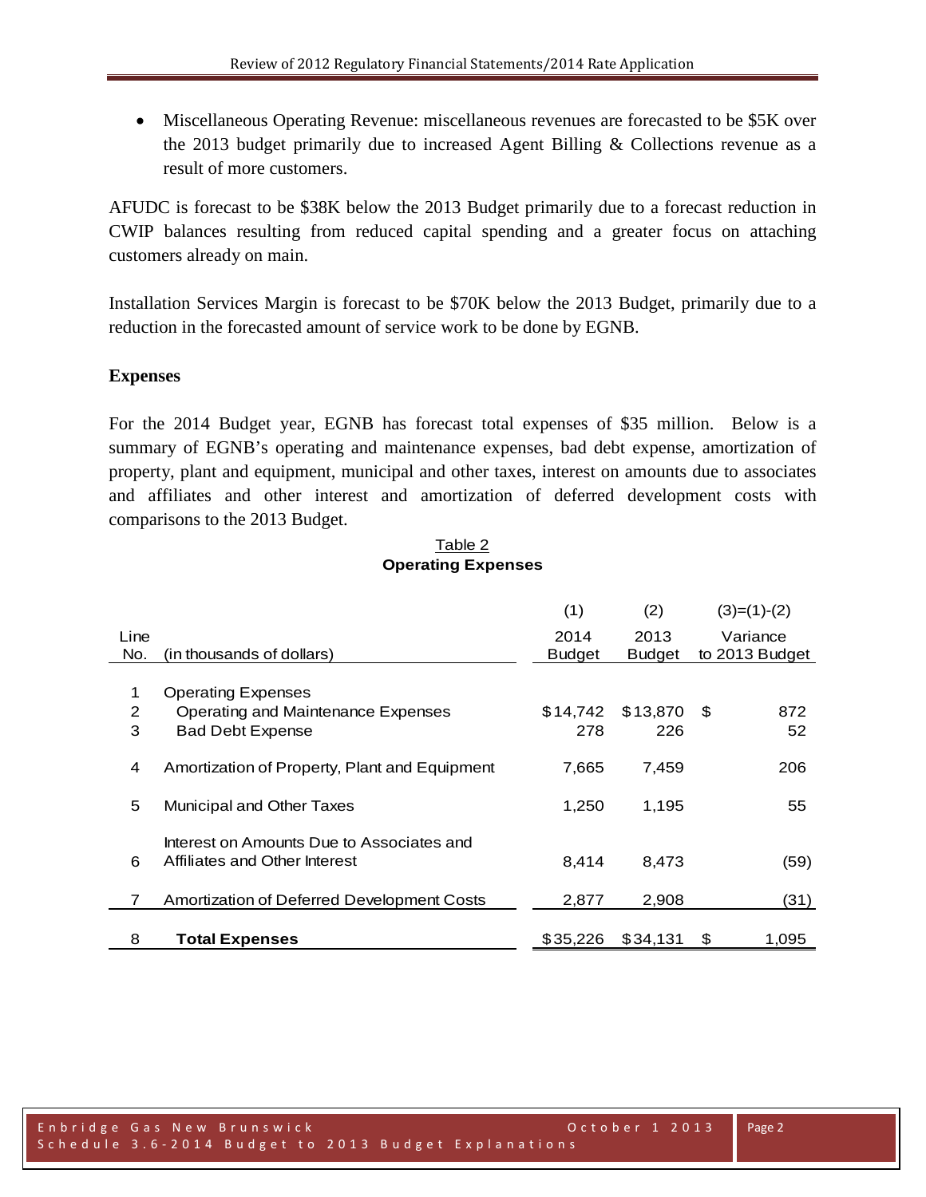• Miscellaneous Operating Revenue: miscellaneous revenues are forecasted to be \$5K over the 2013 budget primarily due to increased Agent Billing & Collections revenue as a result of more customers.

AFUDC is forecast to be \$38K below the 2013 Budget primarily due to a forecast reduction in CWIP balances resulting from reduced capital spending and a greater focus on attaching customers already on main.

Installation Services Margin is forecast to be \$70K below the 2013 Budget, primarily due to a reduction in the forecasted amount of service work to be done by EGNB.

### **Expenses**

For the 2014 Budget year, EGNB has forecast total expenses of \$35 million. Below is a summary of EGNB's operating and maintenance expenses, bad debt expense, amortization of property, plant and equipment, municipal and other taxes, interest on amounts due to associates and affiliates and other interest and amortization of deferred development costs with comparisons to the 2013 Budget.

| Table 2                   |  |  |  |  |  |  |  |
|---------------------------|--|--|--|--|--|--|--|
| <b>Operating Expenses</b> |  |  |  |  |  |  |  |

|      |                                               | (1)           | (2)           |      | $(3)=(1)-(2)$  |
|------|-----------------------------------------------|---------------|---------------|------|----------------|
| Line |                                               | 2014          | 2013          |      | Variance       |
| No.  | (in thousands of dollars)                     | <b>Budget</b> | <b>Budget</b> |      | to 2013 Budget |
|      |                                               |               |               |      |                |
| 1    | <b>Operating Expenses</b>                     |               |               |      |                |
| 2    | Operating and Maintenance Expenses            | \$14.742      | \$13.870      | - \$ | 872            |
| 3    | <b>Bad Debt Expense</b>                       | 278           | 226           |      | 52             |
|      |                                               |               |               |      |                |
| 4    | Amortization of Property, Plant and Equipment | 7,665         | 7,459         |      | 206            |
|      |                                               |               |               |      |                |
| 5    | Municipal and Other Taxes                     | 1,250         | 1,195         |      | 55             |
|      |                                               |               |               |      |                |
|      | Interest on Amounts Due to Associates and     |               |               |      |                |
| 6    | Affiliates and Other Interest                 | 8.414         | 8,473         |      | (59)           |
|      |                                               |               |               |      |                |
|      | Amortization of Deferred Development Costs    | 2,877         | 2,908         |      | (31)           |
|      |                                               |               |               |      |                |
| 8    | <b>Total Expenses</b>                         | \$35,226      | \$34.131      | S    | 1.095          |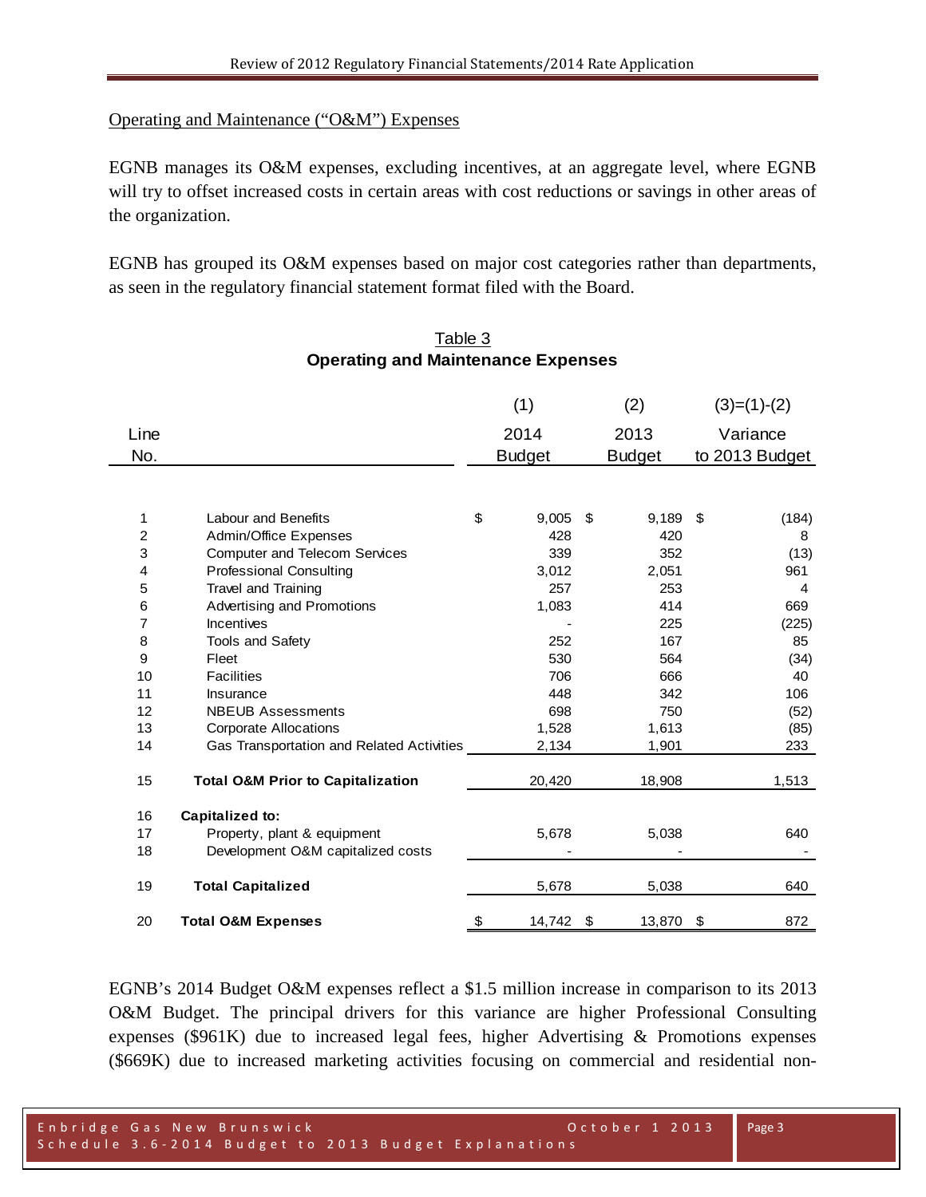### Operating and Maintenance ("O&M") Expenses

EGNB manages its O&M expenses, excluding incentives, at an aggregate level, where EGNB will try to offset increased costs in certain areas with cost reductions or savings in other areas of the organization.

EGNB has grouped its O&M expenses based on major cost categories rather than departments, as seen in the regulatory financial statement format filed with the Board.

|                         |                                              | (1)<br>(2)      |    |               | $(3)=(1)-(2)$ |                |
|-------------------------|----------------------------------------------|-----------------|----|---------------|---------------|----------------|
| Line                    |                                              | 2014            |    | 2013          |               | Variance       |
| No.                     |                                              | <b>Budget</b>   |    | <b>Budget</b> |               | to 2013 Budget |
|                         |                                              |                 |    |               |               |                |
|                         |                                              |                 |    |               |               |                |
| 1                       | Labour and Benefits                          | \$<br>9,005     | \$ | 9,189         | - \$          | (184)          |
| $\overline{c}$          | Admin/Office Expenses                        | 428             |    | 420           |               | 8              |
| 3                       | <b>Computer and Telecom Services</b>         | 339             |    | 352           |               | (13)           |
| $\overline{\mathbf{4}}$ | <b>Professional Consulting</b>               | 3,012           |    | 2,051         |               | 961            |
| 5                       | <b>Travel and Training</b>                   | 257             |    | 253           |               | 4              |
| 6                       | Advertising and Promotions                   | 1,083           |    | 414           |               | 669            |
| 7                       | Incentives                                   |                 |    | 225           |               | (225)          |
| 8                       | <b>Tools and Safety</b>                      | 252             |    | 167           |               | 85             |
| 9                       | Fleet                                        | 530             |    | 564           |               | (34)           |
| 10                      | <b>Facilities</b>                            | 706             |    | 666           |               | 40             |
| 11                      | Insurance                                    | 448             |    | 342           |               | 106            |
| 12                      | <b>NBEUB Assessments</b>                     | 698             |    | 750           |               | (52)           |
| 13                      | <b>Corporate Allocations</b>                 | 1,528           |    | 1,613         |               | (85)           |
| 14                      | Gas Transportation and Related Activities    | 2,134           |    | 1,901         |               | 233            |
| 15                      | <b>Total O&amp;M Prior to Capitalization</b> | 20,420          |    | 18,908        |               | 1,513          |
|                         |                                              |                 |    |               |               |                |
| 16                      | Capitalized to:                              |                 |    |               |               |                |
| 17<br>18                | Property, plant & equipment                  | 5,678           |    | 5,038         |               | 640            |
|                         | Development O&M capitalized costs            |                 |    |               |               |                |
| 19                      | <b>Total Capitalized</b>                     | 5,678           |    | 5,038         |               | 640            |
| 20                      | <b>Total O&amp;M Expenses</b>                | \$<br>14,742 \$ |    | 13,870 \$     |               | 872            |

### Table 3 **Operating and Maintenance Expenses**

EGNB's 2014 Budget O&M expenses reflect a \$1.5 million increase in comparison to its 2013 O&M Budget. The principal drivers for this variance are higher Professional Consulting expenses (\$961K) due to increased legal fees, higher Advertising & Promotions expenses (\$669K) due to increased marketing activities focusing on commercial and residential non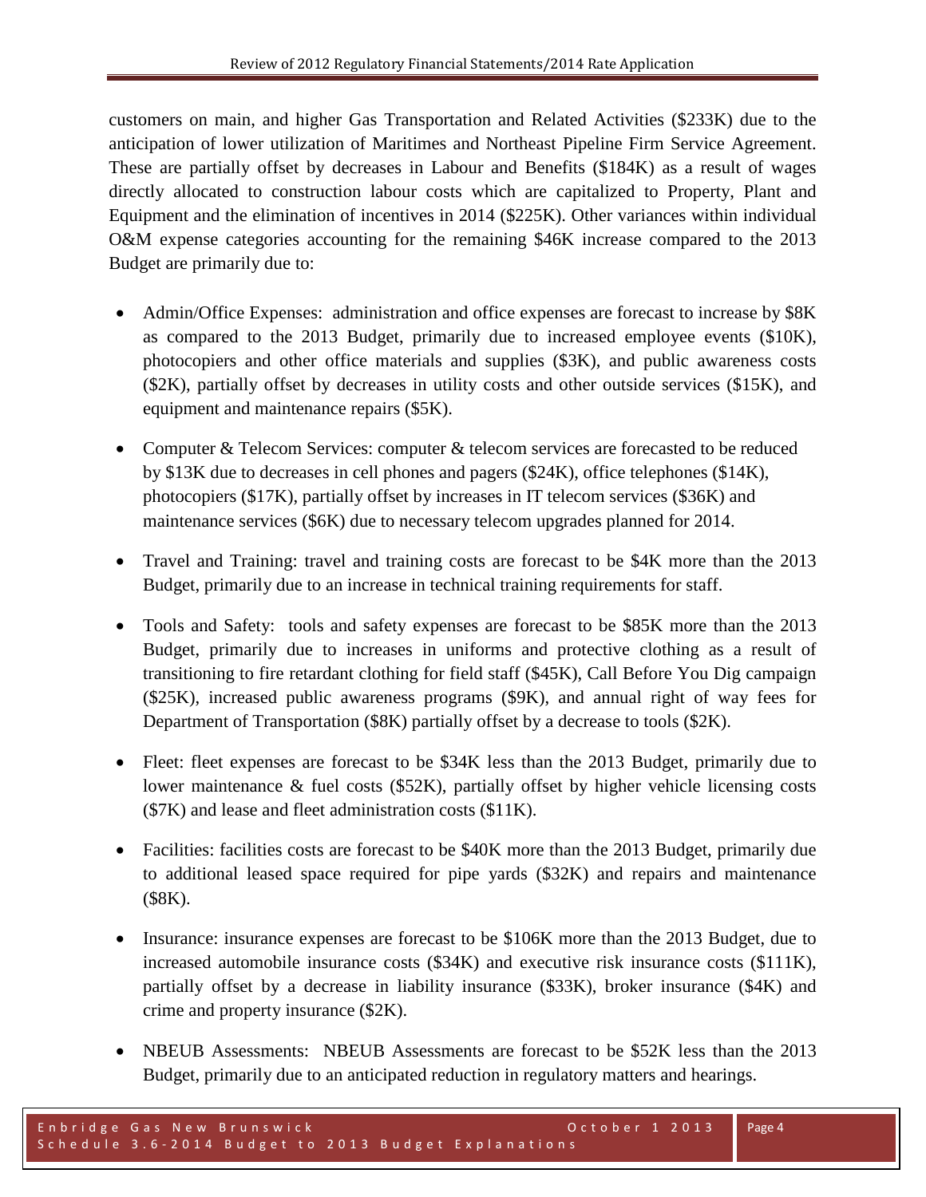customers on main, and higher Gas Transportation and Related Activities (\$233K) due to the anticipation of lower utilization of Maritimes and Northeast Pipeline Firm Service Agreement. These are partially offset by decreases in Labour and Benefits (\$184K) as a result of wages directly allocated to construction labour costs which are capitalized to Property, Plant and Equipment and the elimination of incentives in 2014 (\$225K). Other variances within individual O&M expense categories accounting for the remaining \$46K increase compared to the 2013 Budget are primarily due to:

- Admin/Office Expenses: administration and office expenses are forecast to increase by \$8K as compared to the 2013 Budget, primarily due to increased employee events (\$10K), photocopiers and other office materials and supplies (\$3K), and public awareness costs (\$2K), partially offset by decreases in utility costs and other outside services (\$15K), and equipment and maintenance repairs (\$5K).
- Computer & Telecom Services: computer & telecom services are forecasted to be reduced by \$13K due to decreases in cell phones and pagers (\$24K), office telephones (\$14K), photocopiers (\$17K), partially offset by increases in IT telecom services (\$36K) and maintenance services (\$6K) due to necessary telecom upgrades planned for 2014.
- Travel and Training: travel and training costs are forecast to be \$4K more than the 2013 Budget, primarily due to an increase in technical training requirements for staff.
- Tools and Safety: tools and safety expenses are forecast to be \$85K more than the 2013 Budget, primarily due to increases in uniforms and protective clothing as a result of transitioning to fire retardant clothing for field staff (\$45K), Call Before You Dig campaign (\$25K), increased public awareness programs (\$9K), and annual right of way fees for Department of Transportation (\$8K) partially offset by a decrease to tools (\$2K).
- Fleet: fleet expenses are forecast to be \$34K less than the 2013 Budget, primarily due to lower maintenance & fuel costs (\$52K), partially offset by higher vehicle licensing costs (\$7K) and lease and fleet administration costs (\$11K).
- Facilities: facilities costs are forecast to be \$40K more than the 2013 Budget, primarily due to additional leased space required for pipe yards (\$32K) and repairs and maintenance (\$8K).
- Insurance: insurance expenses are forecast to be \$106K more than the 2013 Budget, due to increased automobile insurance costs (\$34K) and executive risk insurance costs (\$111K), partially offset by a decrease in liability insurance (\$33K), broker insurance (\$4K) and crime and property insurance (\$2K).
- NBEUB Assessments: NBEUB Assessments are forecast to be \$52K less than the 2013 Budget, primarily due to an anticipated reduction in regulatory matters and hearings.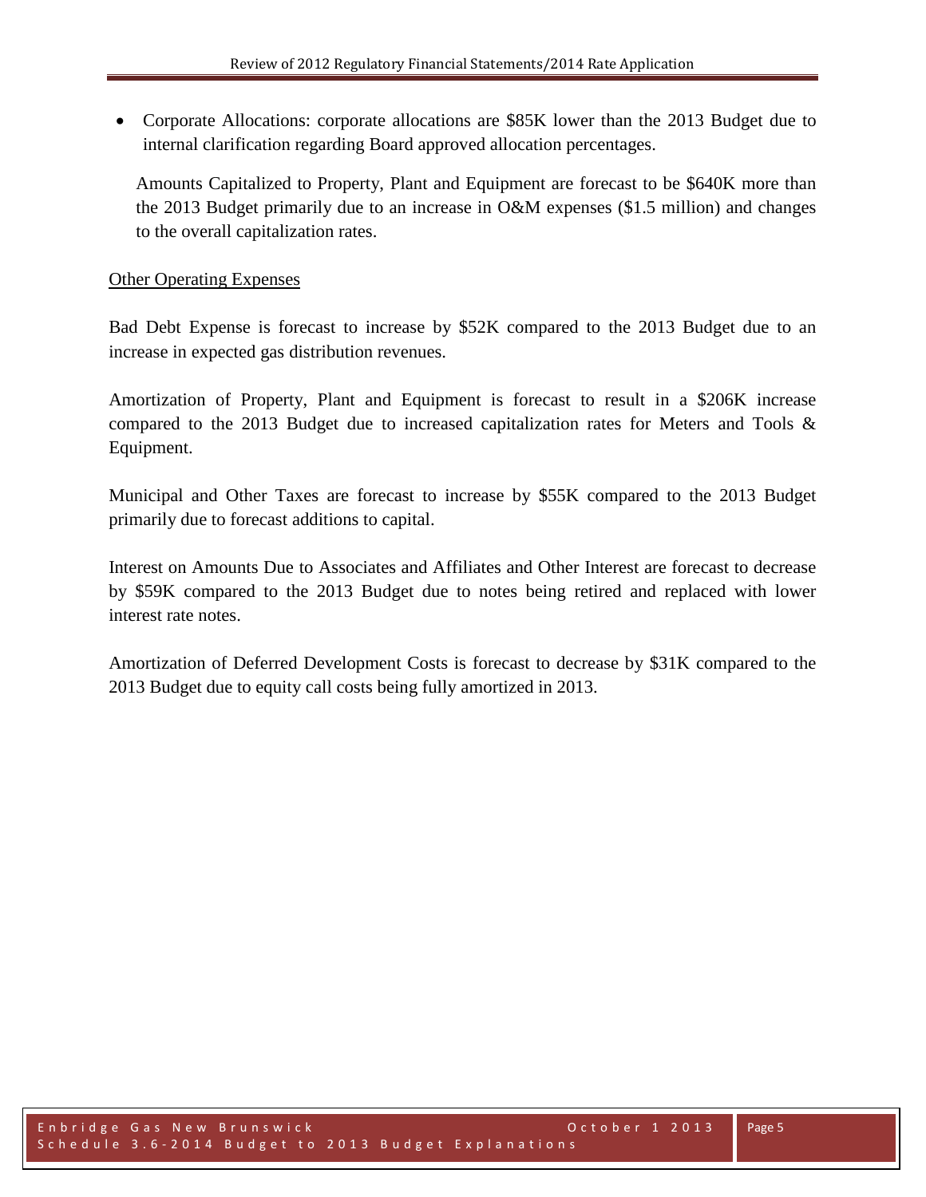• Corporate Allocations: corporate allocations are \$85K lower than the 2013 Budget due to internal clarification regarding Board approved allocation percentages.

Amounts Capitalized to Property, Plant and Equipment are forecast to be \$640K more than the 2013 Budget primarily due to an increase in O&M expenses (\$1.5 million) and changes to the overall capitalization rates.

### Other Operating Expenses

Bad Debt Expense is forecast to increase by \$52K compared to the 2013 Budget due to an increase in expected gas distribution revenues.

Amortization of Property, Plant and Equipment is forecast to result in a \$206K increase compared to the 2013 Budget due to increased capitalization rates for Meters and Tools & Equipment.

Municipal and Other Taxes are forecast to increase by \$55K compared to the 2013 Budget primarily due to forecast additions to capital.

Interest on Amounts Due to Associates and Affiliates and Other Interest are forecast to decrease by \$59K compared to the 2013 Budget due to notes being retired and replaced with lower interest rate notes.

Amortization of Deferred Development Costs is forecast to decrease by \$31K compared to the 2013 Budget due to equity call costs being fully amortized in 2013.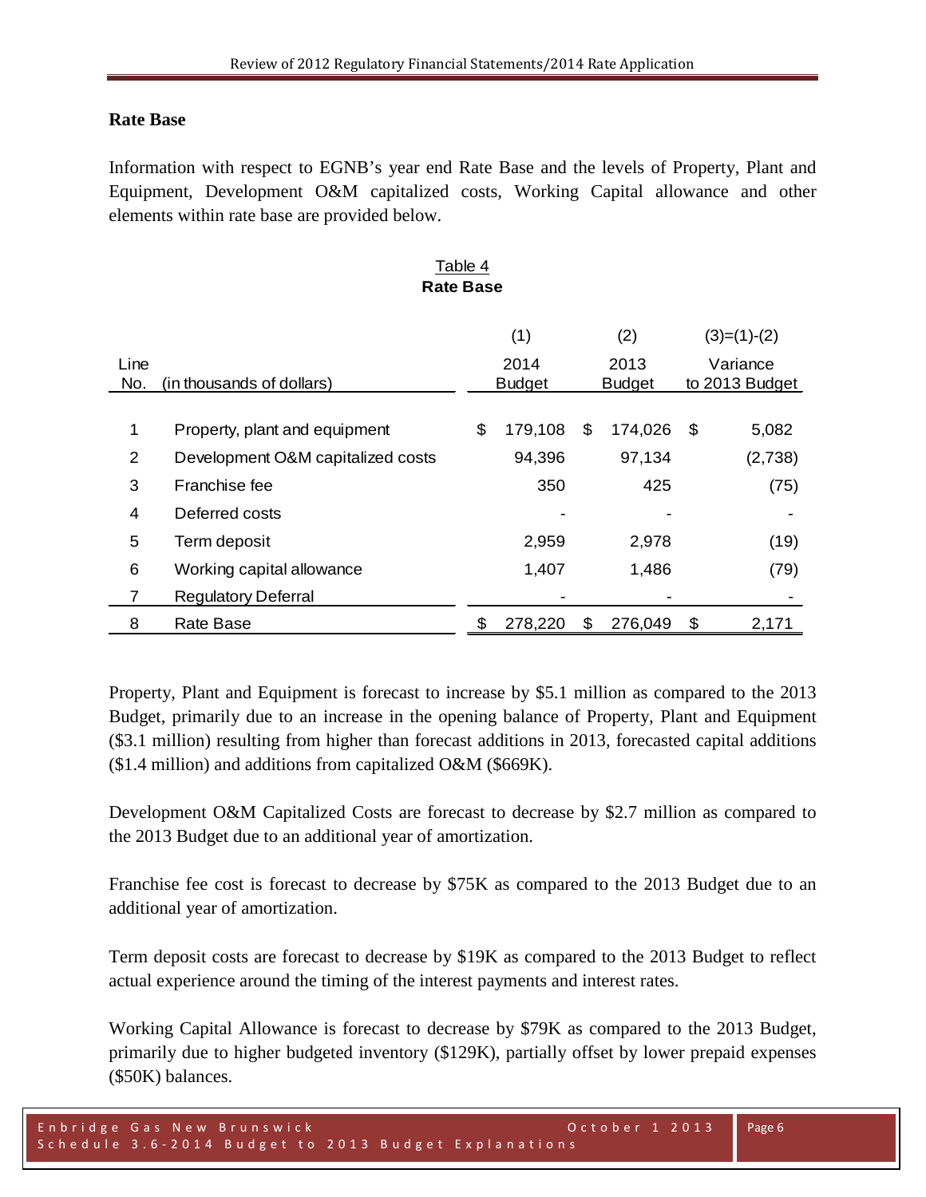#### **Rate Base**

Information with respect to EGNB's year end Rate Base and the levels of Property, Plant and Equipment, Development O&M capitalized costs, Working Capital allowance and other elements within rate base are provided below.

Table 4

| <b>Rate Base</b> |                                   |    |               |    |               |    |                |  |  |
|------------------|-----------------------------------|----|---------------|----|---------------|----|----------------|--|--|
|                  |                                   |    | (1)           |    | (2)           |    | $(3)=(1)-(2)$  |  |  |
| Line             |                                   |    | 2014          |    | 2013          |    | Variance       |  |  |
| No.              | (in thousands of dollars)         |    | <b>Budget</b> |    | <b>Budget</b> |    | to 2013 Budget |  |  |
|                  |                                   |    |               |    |               |    |                |  |  |
| 1                | Property, plant and equipment     | \$ | 179,108       | \$ | 174,026       | \$ | 5,082          |  |  |
| $\overline{2}$   | Development O&M capitalized costs |    | 94,396        |    | 97,134        |    | (2,738)        |  |  |
| 3                | Franchise fee                     |    | 350           |    | 425           |    | (75)           |  |  |
| 4                | Deferred costs                    |    |               |    |               |    |                |  |  |
| 5                | Term deposit                      |    | 2,959         |    | 2,978         |    | (19)           |  |  |
| 6                | Working capital allowance         |    | 1,407         |    | 1,486         |    | (79)           |  |  |
| $\overline{7}$   | <b>Regulatory Deferral</b>        |    |               |    |               |    |                |  |  |
| 8                | Rate Base                         | \$ | 278,220       | \$ | 276,049       | \$ | 2,171          |  |  |

## Property, Plant and Equipment is forecast to increase by \$5.1 million as compared to the 2013 Budget, primarily due to an increase in the opening balance of Property, Plant and Equipment (\$3.1 million) resulting from higher than forecast additions in 2013, forecasted capital additions (\$1.4 million) and additions from capitalized O&M (\$669K).

Development O&M Capitalized Costs are forecast to decrease by \$2.7 million as compared to the 2013 Budget due to an additional year of amortization.

Franchise fee cost is forecast to decrease by \$75K as compared to the 2013 Budget due to an additional year of amortization.

Term deposit costs are forecast to decrease by \$19K as compared to the 2013 Budget to reflect actual experience around the timing of the interest payments and interest rates.

Working Capital Allowance is forecast to decrease by \$79K as compared to the 2013 Budget, primarily due to higher budgeted inventory (\$129K), partially offset by lower prepaid expenses (\$50K) balances.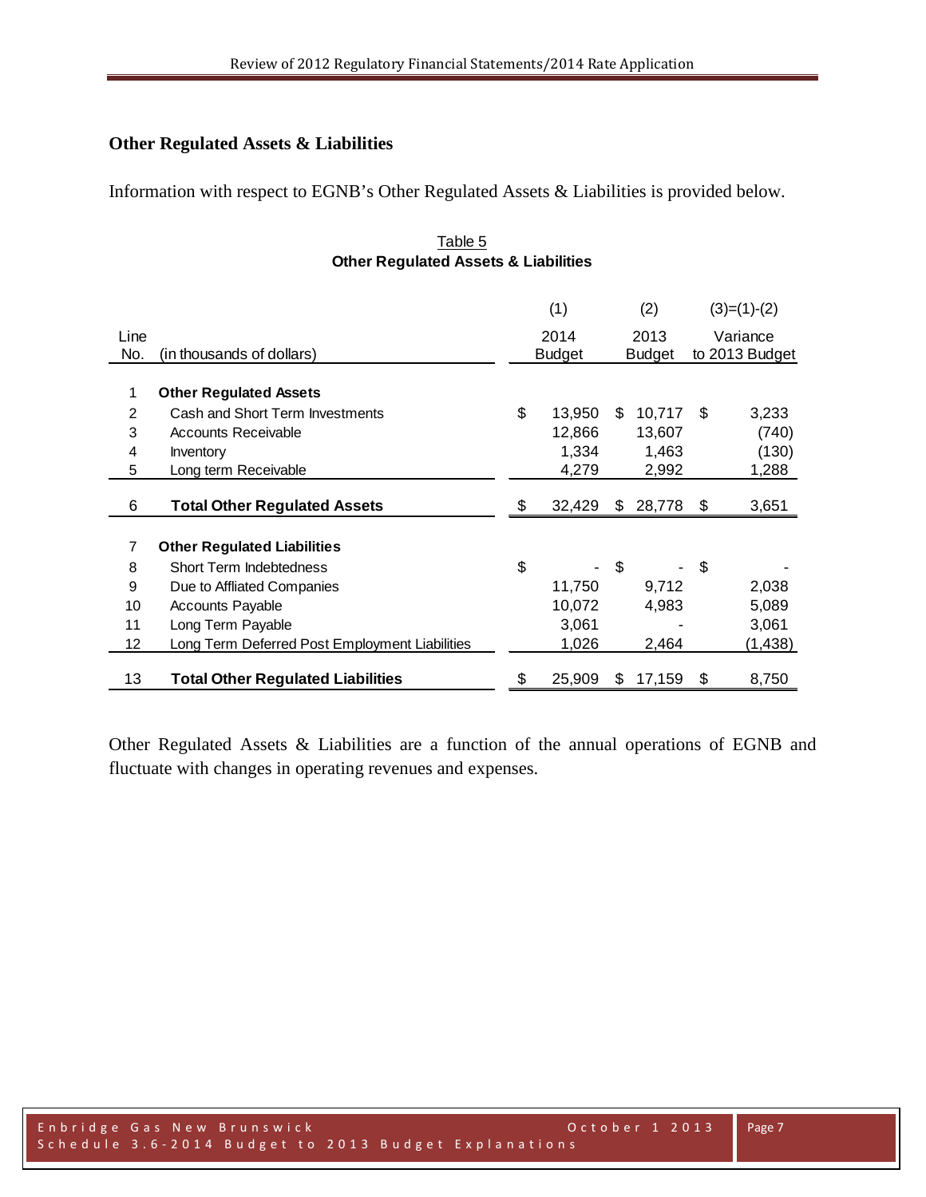### **Other Regulated Assets & Liabilities**

Information with respect to EGNB's Other Regulated Assets & Liabilities is provided below.

#### Table 5 **Other Regulated Assets & Liabilities**

|      |                                                | (1)           |     | (2)           |     | $(3)=(1)-(2)$  |
|------|------------------------------------------------|---------------|-----|---------------|-----|----------------|
| Line |                                                | 2014          |     | 2013          |     | Variance       |
| No.  | (in thousands of dollars)                      | <b>Budget</b> |     | <b>Budget</b> |     | to 2013 Budget |
|      |                                                |               |     |               |     |                |
| 1    | <b>Other Regulated Assets</b>                  |               |     |               |     |                |
| 2    | Cash and Short Term Investments                | \$<br>13,950  | \$. | 10,717        | \$. | 3,233          |
| 3    | Accounts Receivable                            | 12,866        |     | 13,607        |     | (740)          |
| 4    | Inventory                                      | 1,334         |     | 1,463         |     | (130)          |
| 5    | Long term Receivable                           | 4,279         |     | 2,992         |     | 1,288          |
|      |                                                |               |     |               |     |                |
| 6    | <b>Total Other Regulated Assets</b>            | 32,429        | \$  | 28,778        | \$  | 3,651          |
| 7    | <b>Other Regulated Liabilities</b>             |               |     |               |     |                |
| 8    | Short Term Indebtedness                        | \$            | \$  |               | \$  |                |
| 9    | Due to Affliated Companies                     | 11,750        |     | 9,712         |     | 2,038          |
| 10   | <b>Accounts Payable</b>                        | 10,072        |     | 4,983         |     | 5,089          |
| 11   | Long Term Payable                              | 3,061         |     |               |     | 3,061          |
| 12   | Long Term Deferred Post Employment Liabilities | 1,026         |     | 2,464         |     | (1,438)        |
|      |                                                |               |     |               |     |                |
| 13   | <b>Total Other Regulated Liabilities</b>       | \$<br>25,909  | \$. | 17,159        | \$  | 8,750          |

Other Regulated Assets & Liabilities are a function of the annual operations of EGNB and fluctuate with changes in operating revenues and expenses.